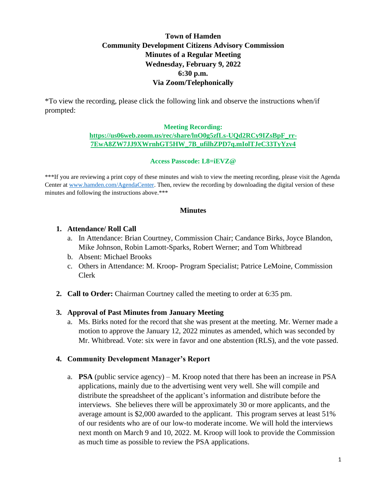# **Town of Hamden Community Development Citizens Advisory Commission Minutes of a Regular Meeting Wednesday, February 9, 2022 6:30 p.m. Via Zoom/Telephonically**

\*To view the recording, please click the following link and observe the instructions when/if prompted:

#### **Meeting Recording:**

#### **[https://us06web.zoom.us/rec/share/lnO0g5zfLs-UQd2RCy9IZsBpF\\_rr-](https://us06web.zoom.us/rec/share/lnO0g5zfLs-UQd2RCy9IZsBpF_rr-7EwA8ZW7JJ9XWrnhGT5HW_7B_ufilhZPD7q.mIolTJeC33TyYzv4)[7EwA8ZW7JJ9XWrnhGT5HW\\_7B\\_ufilhZPD7q.mIolTJeC33TyYzv4](https://us06web.zoom.us/rec/share/lnO0g5zfLs-UQd2RCy9IZsBpF_rr-7EwA8ZW7JJ9XWrnhGT5HW_7B_ufilhZPD7q.mIolTJeC33TyYzv4)**

#### **Access Passcode: L8=iEVZ@**

\*\*\*If you are reviewing a print copy of these minutes and wish to view the meeting recording, please visit the Agenda Center at [www.hamden.com/AgendaCenter.](http://www.hamden.com/AgendaCenter) Then, review the recording by downloading the digital version of these minutes and following the instructions above.\*\*\*

## **Minutes**

## **1. Attendance/ Roll Call**

- a. In Attendance: Brian Courtney, Commission Chair; Candance Birks, Joyce Blandon, Mike Johnson, Robin Lamott-Sparks, Robert Werner; and Tom Whitbread
- b. Absent: Michael Brooks
- c. Others in Attendance: M. Kroop- Program Specialist; Patrice LeMoine, Commission Clerk
- **2. Call to Order:** Chairman Courtney called the meeting to order at 6:35 pm.

## **3. Approval of Past Minutes from January Meeting**

a. Ms. Birks noted for the record that she was present at the meeting. Mr. Werner made a motion to approve the January 12, 2022 minutes as amended, which was seconded by Mr. Whitbread. Vote: six were in favor and one abstention (RLS), and the vote passed.

## **4. Community Development Manager's Report**

a. **PSA** (public service agency) – M. Kroop noted that there has been an increase in PSA applications, mainly due to the advertising went very well. She will compile and distribute the spreadsheet of the applicant's information and distribute before the interviews. She believes there will be approximately 30 or more applicants, and the average amount is \$2,000 awarded to the applicant. This program serves at least 51% of our residents who are of our low-to moderate income. We will hold the interviews next month on March 9 and 10, 2022. M. Kroop will look to provide the Commission as much time as possible to review the PSA applications.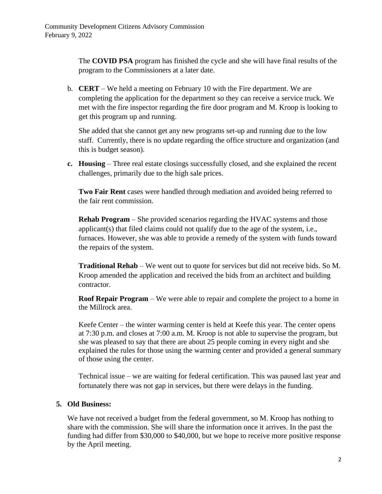The **COVID PSA** program has finished the cycle and she will have final results of the program to the Commissioners at a later date.

b. **CERT** – We held a meeting on February 10 with the Fire department. We are completing the application for the department so they can receive a service truck. We met with the fire inspector regarding the fire door program and M. Kroop is looking to get this program up and running.

She added that she cannot get any new programs set-up and running due to the low staff. Currently, there is no update regarding the office structure and organization (and this is budget season).

**c. Housing** – Three real estate closings successfully closed, and she explained the recent challenges, primarily due to the high sale prices.

**Two Fair Rent** cases were handled through mediation and avoided being referred to the fair rent commission.

**Rehab Program** – She provided scenarios regarding the HVAC systems and those applicant(s) that filed claims could not qualify due to the age of the system, i.e., furnaces. However, she was able to provide a remedy of the system with funds toward the repairs of the system.

**Traditional Rehab** – We went out to quote for services but did not receive bids. So M. Kroop amended the application and received the bids from an architect and building contractor.

**Roof Repair Program** – We were able to repair and complete the project to a home in the Millrock area.

Keefe Center – the winter warming center is held at Keefe this year. The center opens at 7:30 p.m. and closes at 7:00 a.m. M. Kroop is not able to supervise the program, but she was pleased to say that there are about 25 people coming in every night and she explained the rules for those using the warming center and provided a general summary of those using the center.

Technical issue – we are waiting for federal certification. This was paused last year and fortunately there was not gap in services, but there were delays in the funding.

# **5. Old Business:**

We have not received a budget from the federal government, so M. Kroop has nothing to share with the commission. She will share the information once it arrives. In the past the funding had differ from \$30,000 to \$40,000, but we hope to receive more positive response by the April meeting.